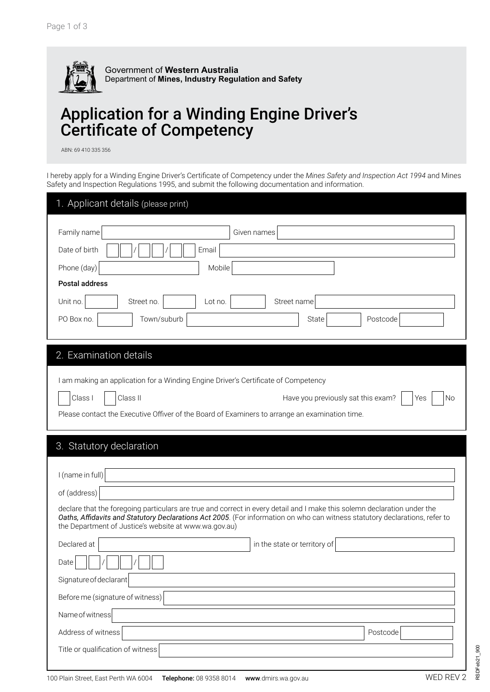

## Application for a Winding Engine Driver's Certificate of Competency

ABN: 69 410 335 356

I hereby apply for a Winding Engine Driver's Certificate of Competency under the *Mines Safety and Inspection Act 1994* and Mines Safety and Inspection Regulations 1995, and submit the following documentation and information.

| 1. Applicant details (please print)                                                                                                                                                                                                                                                                              |
|------------------------------------------------------------------------------------------------------------------------------------------------------------------------------------------------------------------------------------------------------------------------------------------------------------------|
| Family name<br>Given names                                                                                                                                                                                                                                                                                       |
| Date of birth<br>Email                                                                                                                                                                                                                                                                                           |
| Phone (day)<br>Mobile                                                                                                                                                                                                                                                                                            |
| <b>Postal address</b>                                                                                                                                                                                                                                                                                            |
| Unit no.<br>Street no.<br>Street name<br>Lot no.                                                                                                                                                                                                                                                                 |
| PO Box no.<br>Town/suburb<br>State<br>Postcode                                                                                                                                                                                                                                                                   |
|                                                                                                                                                                                                                                                                                                                  |
| 2. Examination details                                                                                                                                                                                                                                                                                           |
| I am making an application for a Winding Engine Driver's Certificate of Competency                                                                                                                                                                                                                               |
| Class I<br>Class II<br>Have you previously sat this exam?<br>No<br>Yes                                                                                                                                                                                                                                           |
| Please contact the Executive Offiver of the Board of Examiners to arrange an examination time.                                                                                                                                                                                                                   |
| 3. Statutory declaration<br>I (name in full)                                                                                                                                                                                                                                                                     |
| of (address)                                                                                                                                                                                                                                                                                                     |
| declare that the foregoing particulars are true and correct in every detail and I make this solemn declaration under the<br>Oaths, Affidavits and Statutory Declarations Act 2005. (For information on who can witness statutory declarations, refer to<br>the Department of Justice's website at www.wa.gov.au) |
| Declared at<br>in the state or territory of                                                                                                                                                                                                                                                                      |
| Date                                                                                                                                                                                                                                                                                                             |
| Signature of declarant                                                                                                                                                                                                                                                                                           |
| Before me (signature of witness)                                                                                                                                                                                                                                                                                 |
| Name of witness                                                                                                                                                                                                                                                                                                  |
| Address of witness<br>Postcode                                                                                                                                                                                                                                                                                   |
| Title or qualification of witness                                                                                                                                                                                                                                                                                |
|                                                                                                                                                                                                                                                                                                                  |

RSDFeb21\_900

RSDFeb21\_900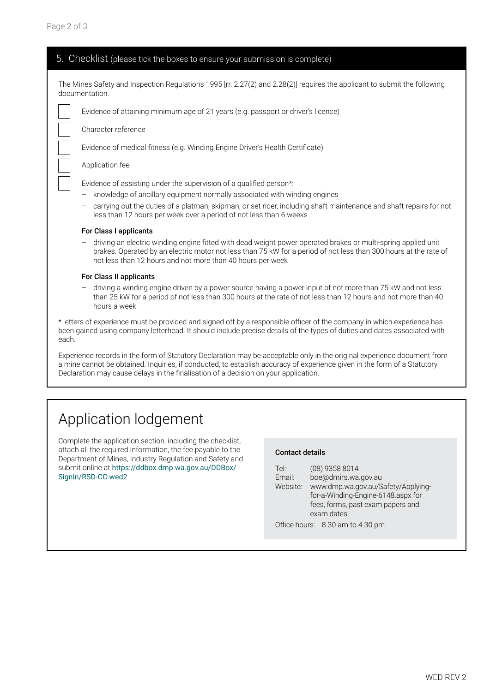| 5. Checklist (please tick the boxes to ensure your submission is complete)                                                                                                                                                                                                                                                                   |  |  |  |
|----------------------------------------------------------------------------------------------------------------------------------------------------------------------------------------------------------------------------------------------------------------------------------------------------------------------------------------------|--|--|--|
| The Mines Safety and Inspection Regulations 1995 [rr. 2.27(2) and 2.28(2)] requires the applicant to submit the following<br>documentation.                                                                                                                                                                                                  |  |  |  |
| Evidence of attaining minimum age of 21 years (e.g. passport or driver's licence)                                                                                                                                                                                                                                                            |  |  |  |
| Character reference                                                                                                                                                                                                                                                                                                                          |  |  |  |
| Evidence of medical fitness (e.g. Winding Engine Driver's Health Certificate)                                                                                                                                                                                                                                                                |  |  |  |
| Application fee                                                                                                                                                                                                                                                                                                                              |  |  |  |
| Evidence of assisting under the supervision of a qualified person*:<br>knowledge of ancillary equipment normally associated with winding engines<br>carrying out the duties of a platman, skipman, or set rider, including shaft maintenance and shaft repairs for not<br>less than 12 hours per week over a period of not less than 6 weeks |  |  |  |
| For Class I applicants                                                                                                                                                                                                                                                                                                                       |  |  |  |
| driving an electric winding engine fitted with dead weight power operated brakes or multi-spring applied unit<br>brakes. Operated by an electric motor not less than 75 kW for a period of not less than 300 hours at the rate of<br>not less than 12 hours and not more than 40 hours per week                                              |  |  |  |
| For Class II applicants                                                                                                                                                                                                                                                                                                                      |  |  |  |
| driving a winding engine driven by a power source having a power input of not more than 75 kW and not less<br>than 25 kW for a period of not less than 300 hours at the rate of not less than 12 hours and not more than 40<br>hours a week                                                                                                  |  |  |  |
| * letters of experience must be provided and signed off by a responsible officer of the company in which experience has<br>been gained using company letterhead. It should include precise details of the types of duties and dates associated with<br>each.                                                                                 |  |  |  |
| Experience records in the form of Statutory Declaration may be acceptable only in the original experience document from<br>a mine cannot be obtained. Inquiries, if conducted, to establish accuracy of experience given in the form of a Statutory                                                                                          |  |  |  |

## Application lodgement

Complete the application section, including the checklist, attach all the required information, the fee payable to the Department of Mines, Industry Regulation and Safety and submit online at [https://ddbox.dmp.wa.gov.au/DDBox/](https://ddbox.dmp.wa.gov.au/DDBox/SignIn/RSD-CC-wed2) SignIn/RSD-CC-wed2

Declaration may cause delays in the finalisation of a decision on your application.

## Contact details

| Tel:                              | (08) 9358 8014                     |  |  |  |
|-----------------------------------|------------------------------------|--|--|--|
| Email:                            | boe@dmirs.wa.gov.au                |  |  |  |
| Website:                          | www.dmp.wa.gov.au/Safety/Applying- |  |  |  |
|                                   | for-a-Winding-Engine-6148.aspx for |  |  |  |
| fees, forms, past exam papers and |                                    |  |  |  |
| exam dates                        |                                    |  |  |  |
|                                   | Office hours: 8.30 am to 4.30 pm   |  |  |  |